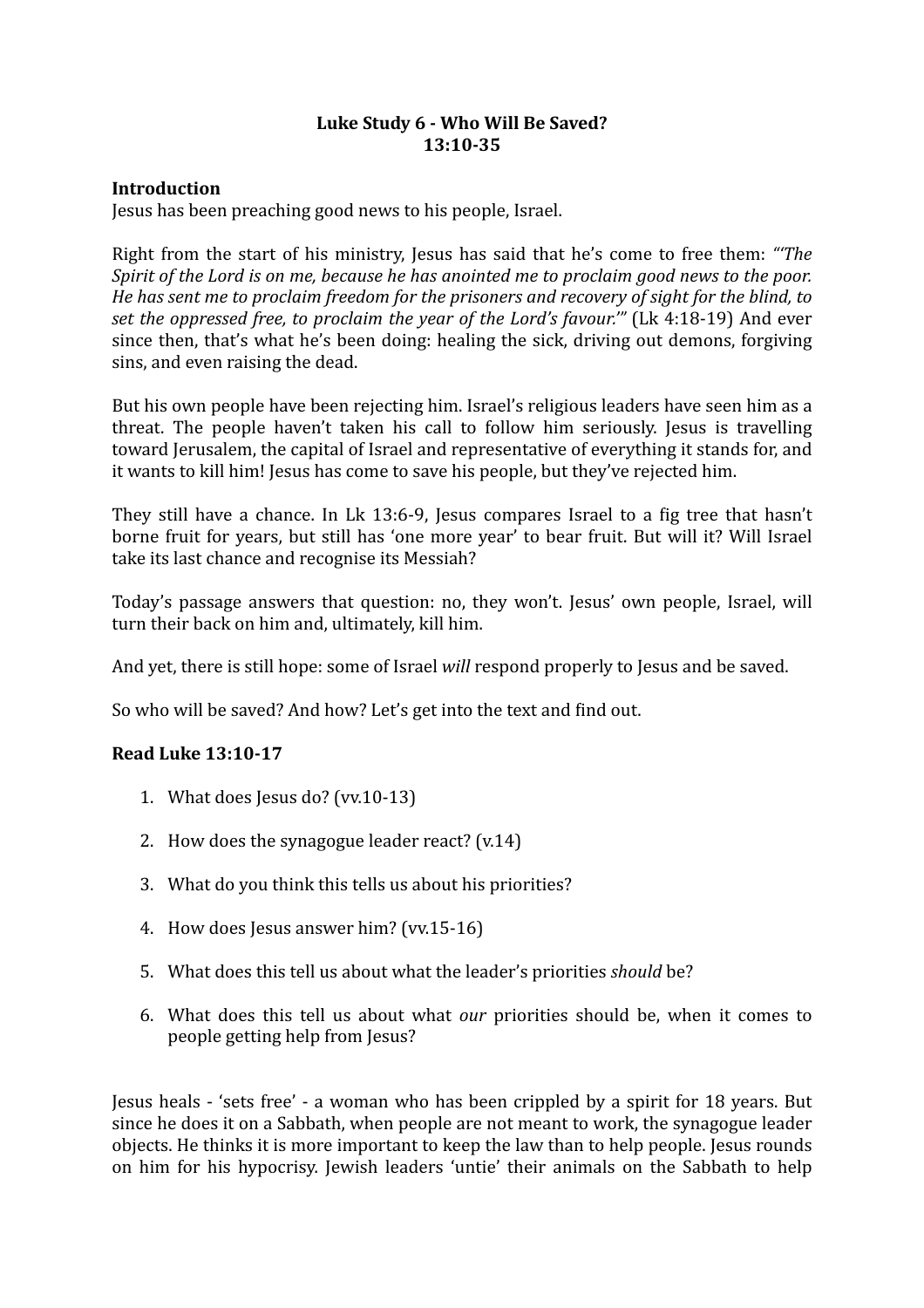# Luke Study 6 - Who Will Be Saved? **13:10-35**

# **Introduction**

Jesus has been preaching good news to his people, Israel.

Right from the start of his ministry, Jesus has said that he's come to free them: "The *Spirit of the Lord is on me, because he has anointed me to proclaim good news to the poor. He has sent me to proclaim freedom for the prisoners and recovery of sight for the blind, to set the oppressed free, to proclaim the year of the Lord's favour."'* (Lk 4:18-19) And ever since then, that's what he's been doing: healing the sick, driving out demons, forgiving sins, and even raising the dead.

But his own people have been rejecting him. Israel's religious leaders have seen him as a threat. The people haven't taken his call to follow him seriously. Jesus is travelling toward Jerusalem, the capital of Israel and representative of everything it stands for, and it wants to kill him! Jesus has come to save his people, but they've rejected him.

They still have a chance. In Lk 13:6-9, Jesus compares Israel to a fig tree that hasn't borne fruit for years, but still has 'one more year' to bear fruit. But will it? Will Israel take its last chance and recognise its Messiah?

Today's passage answers that question: no, they won't. Jesus' own people, Israel, will turn their back on him and, ultimately, kill him.

And yet, there is still hope: some of Israel *will* respond properly to Jesus and be saved.

So who will be saved? And how? Let's get into the text and find out.

# **Read Luke 13:10-17**

- 1. What does Jesus do?  $(vv.10-13)$
- 2. How does the synagogue leader react?  $(v.14)$
- 3. What do you think this tells us about his priorities?
- 4. How does Jesus answer him? (vv.15-16)
- 5. What does this tell us about what the leader's priorities *should* be?
- 6. What does this tell us about what *our* priorities should be, when it comes to people getting help from Jesus?

Iesus heals - 'sets free' - a woman who has been crippled by a spirit for 18 years. But since he does it on a Sabbath, when people are not meant to work, the synagogue leader objects. He thinks it is more important to keep the law than to help people. Jesus rounds on him for his hypocrisy. Jewish leaders 'untie' their animals on the Sabbath to help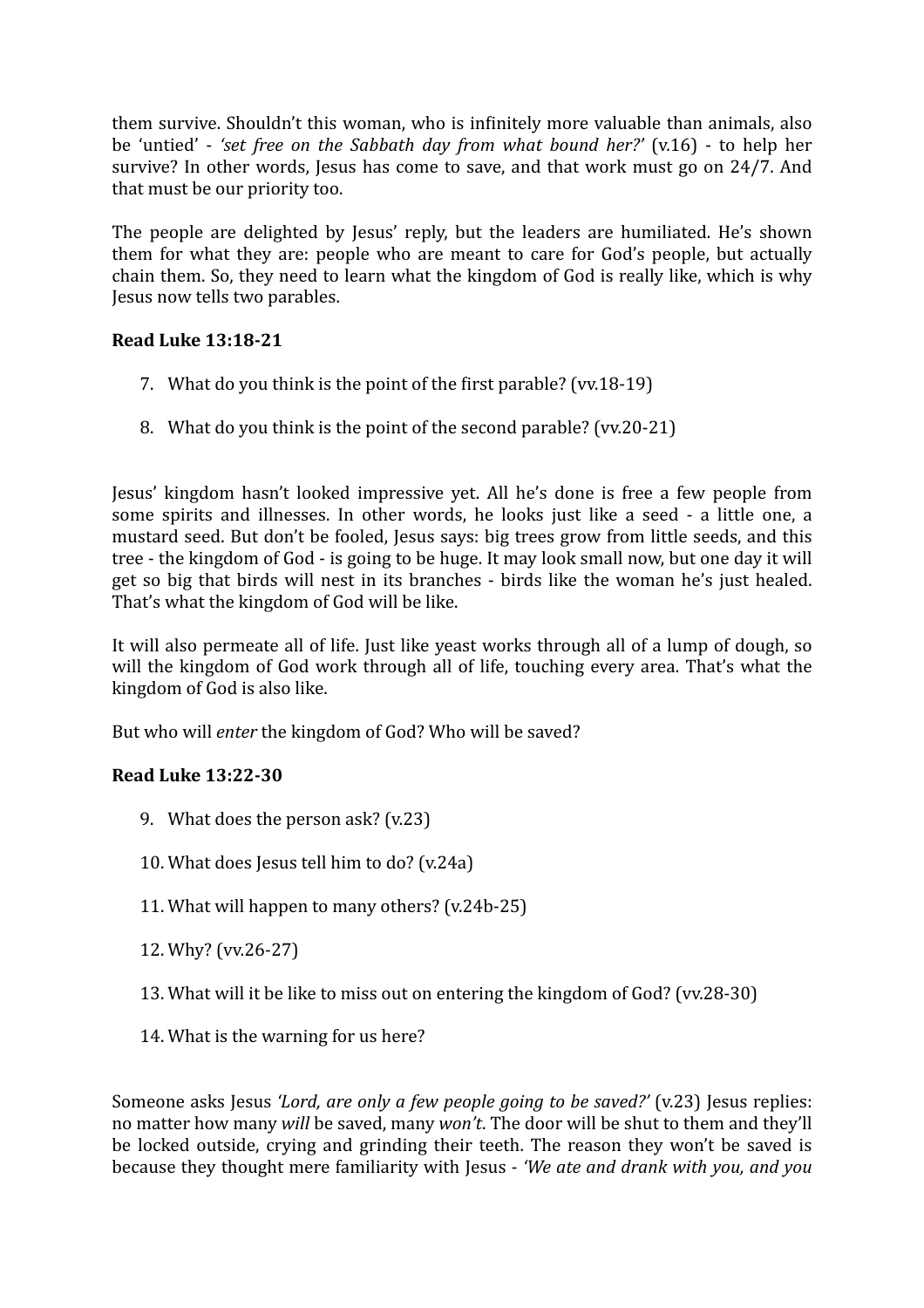them survive. Shouldn't this woman, who is infinitely more valuable than animals, also be 'untied' - 'set free on the Sabbath day from what bound her?' (v.16) - to help her survive? In other words, Jesus has come to save, and that work must go on 24/7. And that must be our priority too.

The people are delighted by Jesus' reply, but the leaders are humiliated. He's shown them for what they are: people who are meant to care for God's people, but actually chain them. So, they need to learn what the kingdom of God is really like, which is why Jesus now tells two parables.

# **Read Luke 13:18-21**

- 7. What do you think is the point of the first parable? (vv.18-19)
- 8. What do you think is the point of the second parable? (vv.20-21)

Jesus' kingdom hasn't looked impressive yet. All he's done is free a few people from some spirits and illnesses. In other words, he looks just like a seed - a little one, a mustard seed. But don't be fooled, Jesus says: big trees grow from little seeds, and this tree - the kingdom of God - is going to be huge. It may look small now, but one day it will get so big that birds will nest in its branches - birds like the woman he's just healed. That's what the kingdom of God will be like.

It will also permeate all of life. Just like yeast works through all of a lump of dough, so will the kingdom of God work through all of life, touching every area. That's what the kingdom of God is also like.

But who will *enter* the kingdom of God? Who will be saved?

# **Read Luke 13:22-30**

- 9. What does the person ask?  $(v.23)$
- 10. What does Jesus tell him to do? (v.24a)
- 11. What will happen to many others?  $(v.24b-25)$
- 12. Why? (vv.26-27)
- 13. What will it be like to miss out on entering the kingdom of God? (vv.28-30)
- 14. What is the warning for us here?

Someone asks Jesus *'Lord, are only a few people going to be saved?'* (v.23) Jesus replies: no matter how many *will* be saved, many *won't*. The door will be shut to them and they'll be locked outside, crying and grinding their teeth. The reason they won't be saved is because they thought mere familiarity with Jesus - 'We ate and drank with you, and you